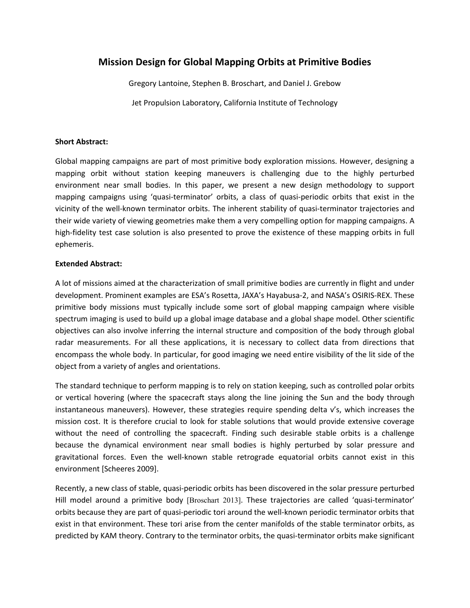## **Mission Design for Global Mapping Orbits at Primitive Bodies**

Gregory Lantoine, Stephen B. Broschart, and Daniel J. Grebow

Jet Propulsion Laboratory, California Institute of Technology

## **Short Abstract:**

Global mapping campaigns are part of most primitive body exploration missions. However, designing a mapping orbit without station keeping maneuvers is challenging due to the highly perturbed environment near small bodies. In this paper, we present a new design methodology to support mapping campaigns using 'quasi-terminator' orbits, a class of quasi-periodic orbits that exist in the vicinity of the well-known terminator orbits. The inherent stability of quasi-terminator trajectories and their wide variety of viewing geometries make them a very compelling option for mapping campaigns. A high-fidelity test case solution is also presented to prove the existence of these mapping orbits in full ephemeris.

## **Extended Abstract:**

A lot of missions aimed at the characterization of small primitive bodies are currently in flight and under development. Prominent examples are ESA's Rosetta, JAXA's Hayabusa-2, and NASA's OSIRIS-REX. These primitive body missions must typically include some sort of global mapping campaign where visible spectrum imaging is used to build up a global image database and a global shape model. Other scientific objectives can also involve inferring the internal structure and composition of the body through global radar measurements. For all these applications, it is necessary to collect data from directions that encompass the whole body. In particular, for good imaging we need entire visibility of the lit side of the object from a variety of angles and orientations.

The standard technique to perform mapping is to rely on station keeping, such as controlled polar orbits or vertical hovering (where the spacecraft stays along the line joining the Sun and the body through instantaneous maneuvers). However, these strategies require spending delta v's, which increases the mission cost. It is therefore crucial to look for stable solutions that would provide extensive coverage without the need of controlling the spacecraft. Finding such desirable stable orbits is a challenge because the dynamical environment near small bodies is highly perturbed by solar pressure and gravitational forces. Even the well-known stable retrograde equatorial orbits cannot exist in this environment [Scheeres 2009].

Recently, a new class of stable, quasi-periodic orbits has been discovered in the solar pressure perturbed Hill model around a primitive body [Broschart 2013]. These trajectories are called 'quasi-terminator' orbits because they are part of quasi-periodic tori around the well-known periodic terminator orbits that exist in that environment. These tori arise from the center manifolds of the stable terminator orbits, as predicted by KAM theory. Contrary to the terminator orbits, the quasi-terminator orbits make significant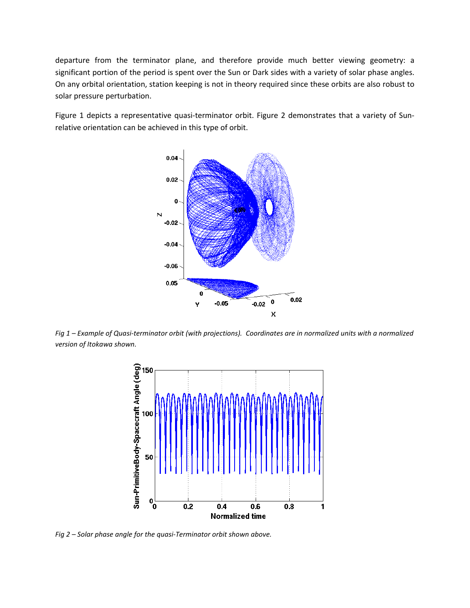departure from the terminator plane, and therefore provide much better viewing geometry: a significant portion of the period is spent over the Sun or Dark sides with a variety of solar phase angles. On any orbital orientation, station keeping is not in theory required since these orbits are also robust to solar pressure perturbation.

Figure 1 depicts a representative quasi-terminator orbit. Figure 2 demonstrates that a variety of Sunrelative orientation can be achieved in this type of orbit.



*Fig 1 – Example of Quasi-terminator orbit (with projections). Coordinates are in normalized units with a normalized version of Itokawa shown.*



*Fig 2 – Solar phase angle for the quasi-Terminator orbit shown above.*